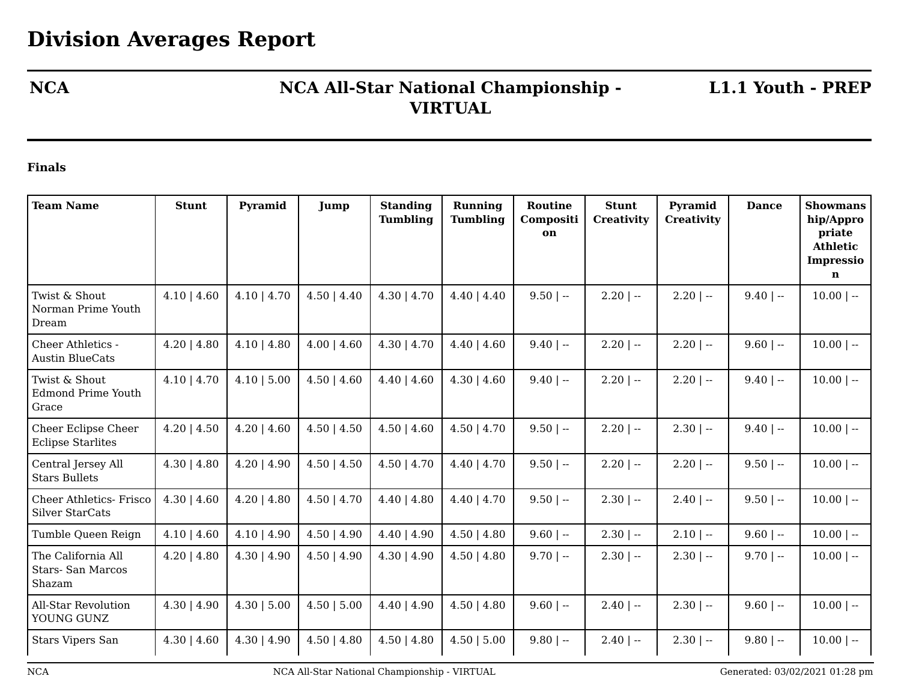## **NCA NCA All-Star National Championship - VIRTUAL**

**L1.1 Youth - PREP**

## **Finals**

| <b>Team Name</b>                                        | <b>Stunt</b>     | Pyramid          | Jump             | <b>Standing</b><br><b>Tumbling</b> | <b>Running</b><br><b>Tumbling</b> | Routine<br>Compositi<br>on | <b>Stunt</b><br>Creativity | Pyramid<br><b>Creativity</b> | <b>Dance</b> | <b>Showmans</b><br>hip/Appro<br>priate<br><b>Athletic</b><br><b>Impressio</b><br>$\mathbf n$ |
|---------------------------------------------------------|------------------|------------------|------------------|------------------------------------|-----------------------------------|----------------------------|----------------------------|------------------------------|--------------|----------------------------------------------------------------------------------------------|
| Twist & Shout<br>Norman Prime Youth<br>Dream            | $4.10$   $4.60$  | $4.10$   $4.70$  | $4.50$   $4.40$  | $4.30$   $4.70$                    | $4.40$   $4.40$                   | $9.50$   --                | $2.20$   $-$               | $2.20$   --                  | $9.40$   --  | $10.00$   --                                                                                 |
| Cheer Athletics -<br><b>Austin BlueCats</b>             | $4.20$   $4.80$  | $4.10$   $4.80$  | $4.00 \mid 4.60$ | $4.30 \mid 4.70$                   | $4.40 \mid 4.60$                  | $9.40$   --                | $2.20$   --                | $2.20$   --                  | $9.60$   --  | $10.00$   --                                                                                 |
| Twist & Shout<br><b>Edmond Prime Youth</b><br>Grace     | $4.10$   $4.70$  | $4.10$   5.00    | $4.50$   $4.60$  | $4.40 \mid 4.60$                   | $4.30 \mid 4.60$                  | $9.40$   --                | $2.20$   $-$               | $2.20$   --                  | $9.40$   --  | $10.00$   --                                                                                 |
| Cheer Eclipse Cheer<br><b>Eclipse Starlites</b>         | $4.20$   $4.50$  | $4.20$   $4.60$  | $4.50$   $4.50$  | $4.50$   $4.60$                    | $4.50 \mid 4.70$                  | $9.50$   --                | $2.20$   --                | $2.30$   $-$                 | $9.40$   --  | $10.00$   --                                                                                 |
| Central Jersey All<br><b>Stars Bullets</b>              | $4.30 \mid 4.80$ | $4.20$   $4.90$  | $4.50$   $4.50$  | $4.50$   $4.70$                    | $4.40$   $4.70$                   | $9.50$   --                | $2.20$   --                | $2.20$   --                  | $9.50$   --  | $10.00$   --                                                                                 |
| <b>Cheer Athletics- Frisco</b><br>Silver StarCats       | $4.30 \mid 4.60$ | $4.20$   $4.80$  | $4.50$   $4.70$  | $4.40$   $4.80$                    | $4.40$   $4.70$                   | $9.50$   $-$               | $2.30$   $-$               | $2.40$   --                  | $9.50$   --  | $10.00$   --                                                                                 |
| Tumble Queen Reign                                      | $4.10$   $4.60$  | $4.10$   $4.90$  | $4.50$   $4.90$  | $4.40$   $4.90$                    | $4.50 \mid 4.80$                  | $9.60$   --                | $2.30$   $-$               | $2.10$   $-$                 | $9.60$   --  | $10.00$   --                                                                                 |
| The California All<br><b>Stars-San Marcos</b><br>Shazam | $4.20$   $4.80$  | $4.30 \mid 4.90$ | $4.50 \mid 4.90$ | $4.30 \mid 4.90$                   | $4.50 \mid 4.80$                  | $9.70$   --                | $2.30$   --                | $2.30$   --                  | $9.70$   --  | $10.00$   --                                                                                 |
| All-Star Revolution<br>YOUNG GUNZ                       | $4.30$   $4.90$  | 4.30   5.00      | $4.50$   $5.00$  | $4.40$   $4.90$                    | $4.50$   $4.80$                   | $9.60$   --                | $2.40$   --                | $2.30$   --                  | $9.60$   --  | $10.00$   --                                                                                 |
| <b>Stars Vipers San</b>                                 | $4.30 \mid 4.60$ | $4.30 \mid 4.90$ | $4.50$   $4.80$  | $4.50$   $4.80$                    | 4.50   5.00                       | $9.80$   --                | $2.40$   --                | $2.30$   --                  | $9.80$   --  | $10.00$   --                                                                                 |